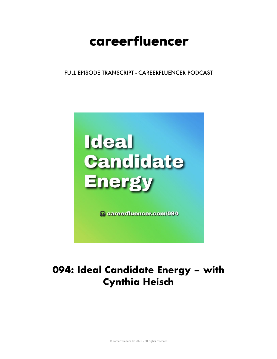# careerfluencer

FULL EPISODE TRANSCRIPT - CAREERFLUENCER PODCAST



## 094: Ideal Candidate Energy - with **Cynthia Heisch**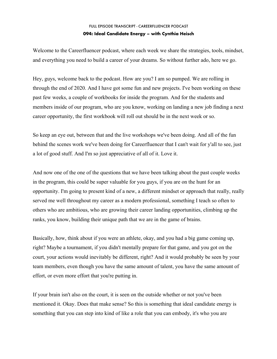Welcome to the Careerfluencer podcast, where each week we share the strategies, tools, mindset, and everything you need to build a career of your dreams. So without further ado, here we go.

Hey, guys, welcome back to the podcast. How are you? I am so pumped. We are rolling in through the end of 2020. And I have got some fun and new projects. I've been working on these past few weeks, a couple of workbooks for inside the program. And for the students and members inside of our program, who are you know, working on landing a new job finding a next career opportunity, the first workbook will roll out should be in the next week or so.

So keep an eye out, between that and the live workshops we've been doing. And all of the fun behind the scenes work we've been doing for Careerfluencer that I can't wait for y'all to see, just a lot of good stuff. And I'm so just appreciative of all of it. Love it.

And now one of the one of the questions that we have been talking about the past couple weeks in the program, this could be super valuable for you guys, if you are on the hunt for an opportunity. I'm going to present kind of a new, a different mindset or approach that really, really served me well throughout my career as a modern professional, something I teach so often to others who are ambitious, who are growing their career landing opportunities, climbing up the ranks, you know, building their unique path that we are in the game of brains.

Basically, how, think about if you were an athlete, okay, and you had a big game coming up, right? Maybe a tournament, if you didn't mentally prepare for that game, and you got on the court, your actions would inevitably be different, right? And it would probably be seen by your team members, even though you have the same amount of talent, you have the same amount of effort, or even more effort that you're putting in.

If your brain isn't also on the court, it is seen on the outside whether or not you've been mentioned it. Okay. Does that make sense? So this is something that ideal candidate energy is something that you can step into kind of like a role that you can embody, it's who you are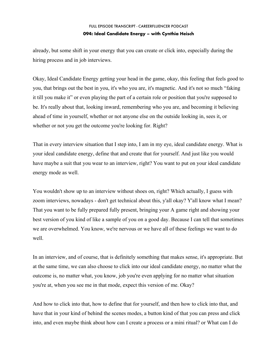already, but some shift in your energy that you can create or click into, especially during the hiring process and in job interviews.

Okay, Ideal Candidate Energy getting your head in the game, okay, this feeling that feels good to you, that brings out the best in you, it's who you are, it's magnetic. And it's not so much "faking it till you make it" or even playing the part of a certain role or position that you're supposed to be. It's really about that, looking inward, remembering who you are, and becoming it believing ahead of time in yourself, whether or not anyone else on the outside looking in, sees it, or whether or not you get the outcome you're looking for. Right?

That in every interview situation that I step into, I am in my eye, ideal candidate energy. What is your ideal candidate energy, define that and create that for yourself. And just like you would have maybe a suit that you wear to an interview, right? You want to put on your ideal candidate energy mode as well.

You wouldn't show up to an interview without shoes on, right? Which actually, I guess with zoom interviews, nowadays - don't get technical about this, y'all okay? Y'all know what I mean? That you want to be fully prepared fully present, bringing your A game right and showing your best version of you kind of like a sample of you on a good day. Because I can tell that sometimes we are overwhelmed. You know, we're nervous or we have all of these feelings we want to do well.

In an interview, and of course, that is definitely something that makes sense, it's appropriate. But at the same time, we can also choose to click into our ideal candidate energy, no matter what the outcome is, no matter what, you know, job you're even applying for no matter what situation you're at, when you see me in that mode, expect this version of me. Okay?

And how to click into that, how to define that for yourself, and then how to click into that, and have that in your kind of behind the scenes modes, a button kind of that you can press and click into, and even maybe think about how can I create a process or a mini ritual? or What can I do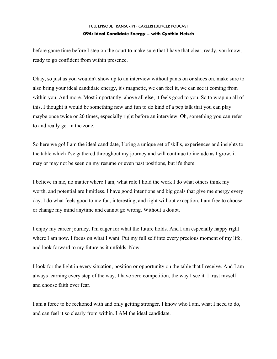before game time before I step on the court to make sure that I have that clear, ready, you know, ready to go confident from within presence.

Okay, so just as you wouldn't show up to an interview without pants on or shoes on, make sure to also bring your ideal candidate energy, it's magnetic, we can feel it, we can see it coming from within you. And more. Most importantly, above all else, it feels good to you. So to wrap up all of this, I thought it would be something new and fun to do kind of a pep talk that you can play maybe once twice or 20 times, especially right before an interview. Oh, something you can refer to and really get in the zone.

So here we go! I am the ideal candidate, I bring a unique set of skills, experiences and insights to the table which I've gathered throughout my journey and will continue to include as I grow, it may or may not be seen on my resume or even past positions, but it's there.

I believe in me, no matter where I am, what role I hold the work I do what others think my worth, and potential are limitless. I have good intentions and big goals that give me energy every day. I do what feels good to me fun, interesting, and right without exception, I am free to choose or change my mind anytime and cannot go wrong. Without a doubt.

I enjoy my career journey. I'm eager for what the future holds. And I am especially happy right where I am now. I focus on what I want. Put my full self into every precious moment of my life, and look forward to my future as it unfolds. Now.

I look for the light in every situation, position or opportunity on the table that I receive. And I am always learning every step of the way. I have zero competition, the way I see it. I trust myself and choose faith over fear.

I am a force to be reckoned with and only getting stronger. I know who I am, what I need to do, and can feel it so clearly from within. I AM the ideal candidate.